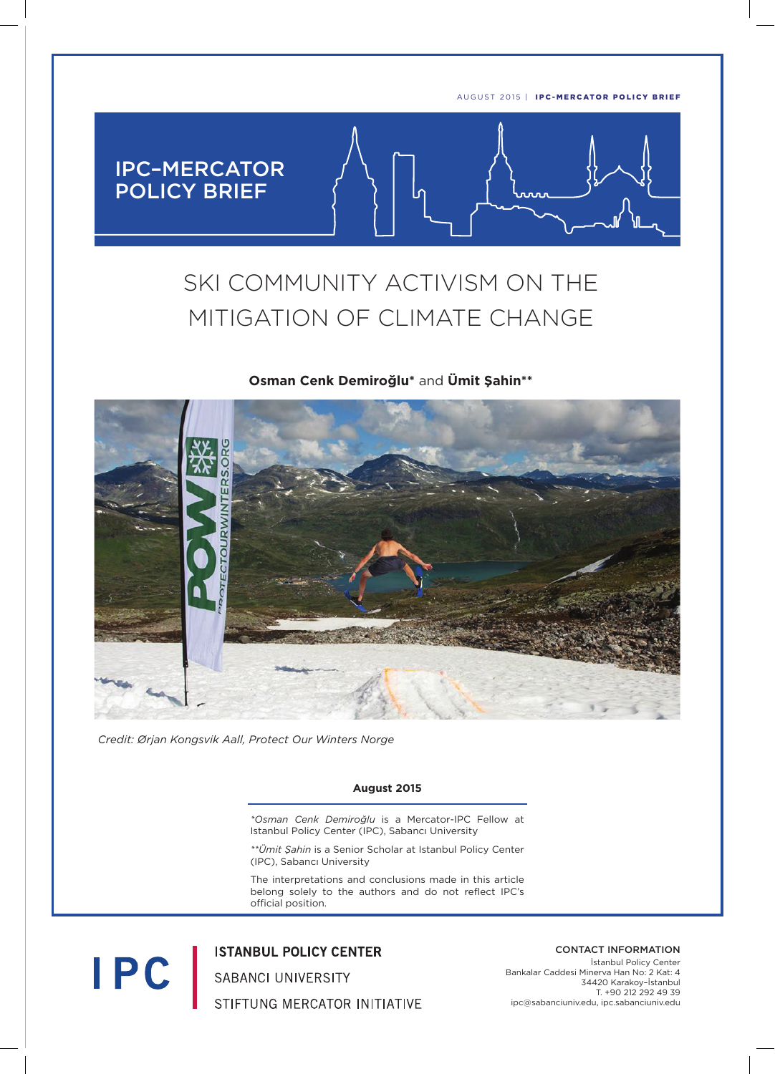

# SKI COMMUNITY ACTIVISM ON THE MITIGATION OF CLIMATE CHANGE

## **Osman Cenk Demiroğlu\*** and **Ümit Şahin\*\***



*Credit: Ørjan Kongsvik Aall, Protect Our Winters Norge*

**IPC** 

#### **August 2015**

*\*Osman Cenk Demiroğlu* is a Mercator-IPC Fellow at Istanbul Policy Center (IPC), Sabancı University

*\*\*Ümit Şahin* is a Senior Scholar at Istanbul Policy Center (IPC), Sabancı University

The interpretations and conclusions made in this article belong solely to the authors and do not reflect IPC's official position.

**ISTANBUL POLICY CENTER** SABANCI UNIVERSITY STIFTUNG MERCATOR INITIATIVE CONTACT INFORMATION

İstanbul Policy Center Bankalar Caddesi Minerva Han No: 2 Kat: 4 34420 Karakoy–İstanbul T. +90 212 292 49 39 ipc@sabanciuniv.edu, ipc.sabanciuniv.edu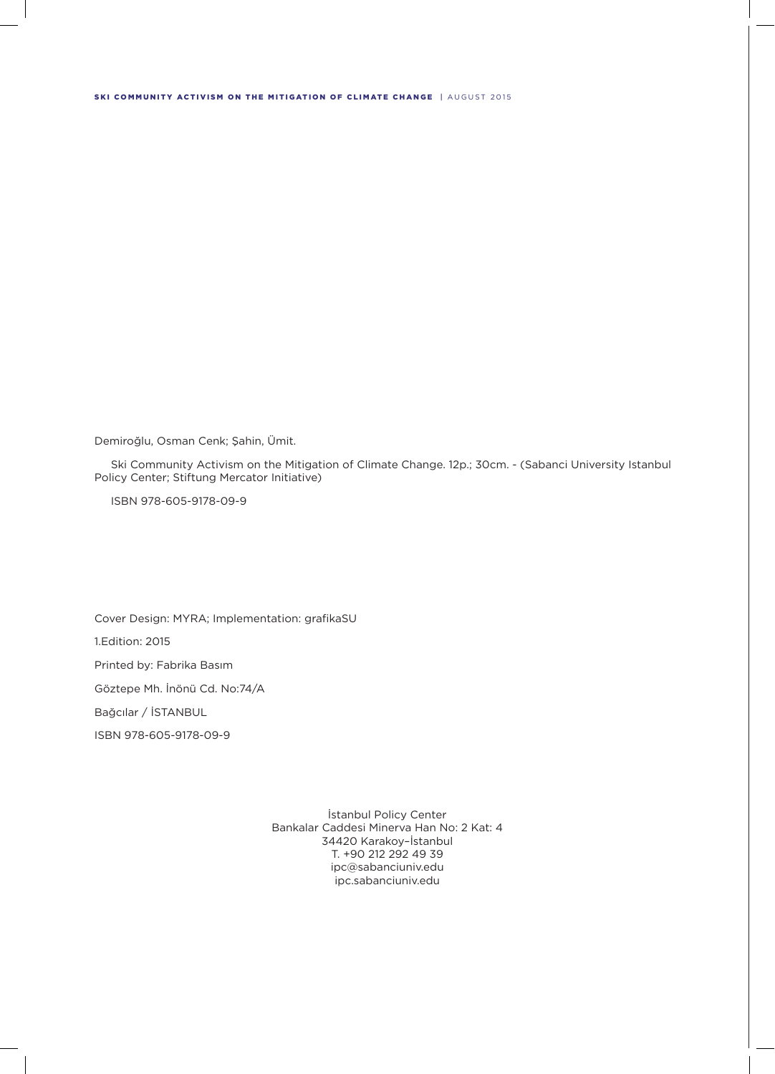#### SKI COMMUNITY ACTIVISM ON THE MITIGATION OF CLIMATE CHANGE | AUGUST 2015

Demiroğlu, Osman Cenk; Şahin, Ümit.

 Ski Community Activism on the Mitigation of Climate Change. 12p.; 30cm. - (Sabanci University Istanbul Policy Center; Stiftung Mercator Initiative)

ISBN 978-605-9178-09-9

Cover Design: MYRA; Implementation: grafikaSU 1.Edition: 2015 Printed by: Fabrika Basım Göztepe Mh. İnönü Cd. No:74/A Bağcılar / İSTANBUL

ISBN 978-605-9178-09-9

İstanbul Policy Center Bankalar Caddesi Minerva Han No: 2 Kat: 4 34420 Karakoy–İstanbul T. +90 212 292 49 39 ipc@sabanciuniv.edu ipc.sabanciuniv.edu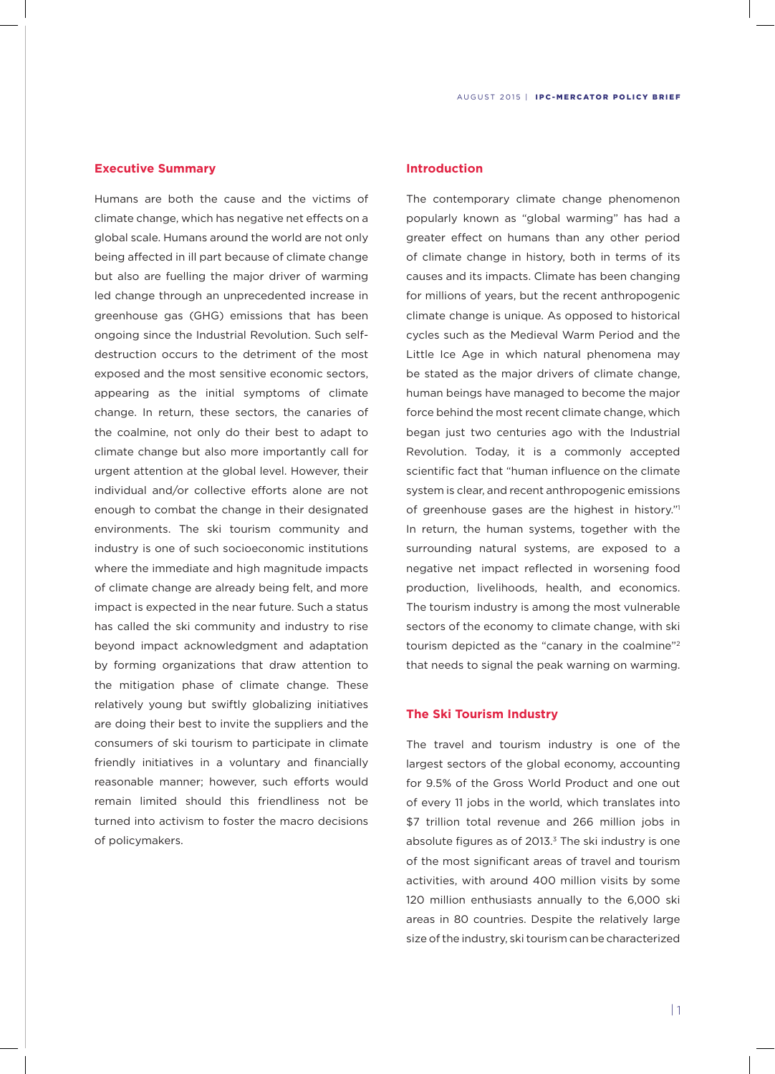## **Executive Summary**

Humans are both the cause and the victims of climate change, which has negative net effects on a global scale. Humans around the world are not only being affected in ill part because of climate change but also are fuelling the major driver of warming led change through an unprecedented increase in greenhouse gas (GHG) emissions that has been ongoing since the Industrial Revolution. Such selfdestruction occurs to the detriment of the most exposed and the most sensitive economic sectors, appearing as the initial symptoms of climate change. In return, these sectors, the canaries of the coalmine, not only do their best to adapt to climate change but also more importantly call for urgent attention at the global level. However, their individual and/or collective efforts alone are not enough to combat the change in their designated environments. The ski tourism community and industry is one of such socioeconomic institutions where the immediate and high magnitude impacts of climate change are already being felt, and more impact is expected in the near future. Such a status has called the ski community and industry to rise beyond impact acknowledgment and adaptation by forming organizations that draw attention to the mitigation phase of climate change. These relatively young but swiftly globalizing initiatives are doing their best to invite the suppliers and the consumers of ski tourism to participate in climate friendly initiatives in a voluntary and financially reasonable manner; however, such efforts would remain limited should this friendliness not be turned into activism to foster the macro decisions of policymakers.

## **Introduction**

The contemporary climate change phenomenon popularly known as "global warming" has had a greater effect on humans than any other period of climate change in history, both in terms of its causes and its impacts. Climate has been changing for millions of years, but the recent anthropogenic climate change is unique. As opposed to historical cycles such as the Medieval Warm Period and the Little Ice Age in which natural phenomena may be stated as the major drivers of climate change, human beings have managed to become the major force behind the most recent climate change, which began just two centuries ago with the Industrial Revolution. Today, it is a commonly accepted scientific fact that "human influence on the climate system is clear, and recent anthropogenic emissions of greenhouse gases are the highest in history."1 In return, the human systems, together with the surrounding natural systems, are exposed to a negative net impact reflected in worsening food production, livelihoods, health, and economics. The tourism industry is among the most vulnerable sectors of the economy to climate change, with ski tourism depicted as the "canary in the coalmine"<sup>2</sup> that needs to signal the peak warning on warming.

#### **The Ski Tourism Industry**

The travel and tourism industry is one of the largest sectors of the global economy, accounting for 9.5% of the Gross World Product and one out of every 11 jobs in the world, which translates into \$7 trillion total revenue and 266 million jobs in absolute figures as of  $2013<sup>3</sup>$ . The ski industry is one of the most significant areas of travel and tourism activities, with around 400 million visits by some 120 million enthusiasts annually to the 6,000 ski areas in 80 countries. Despite the relatively large size of the industry, ski tourism can be characterized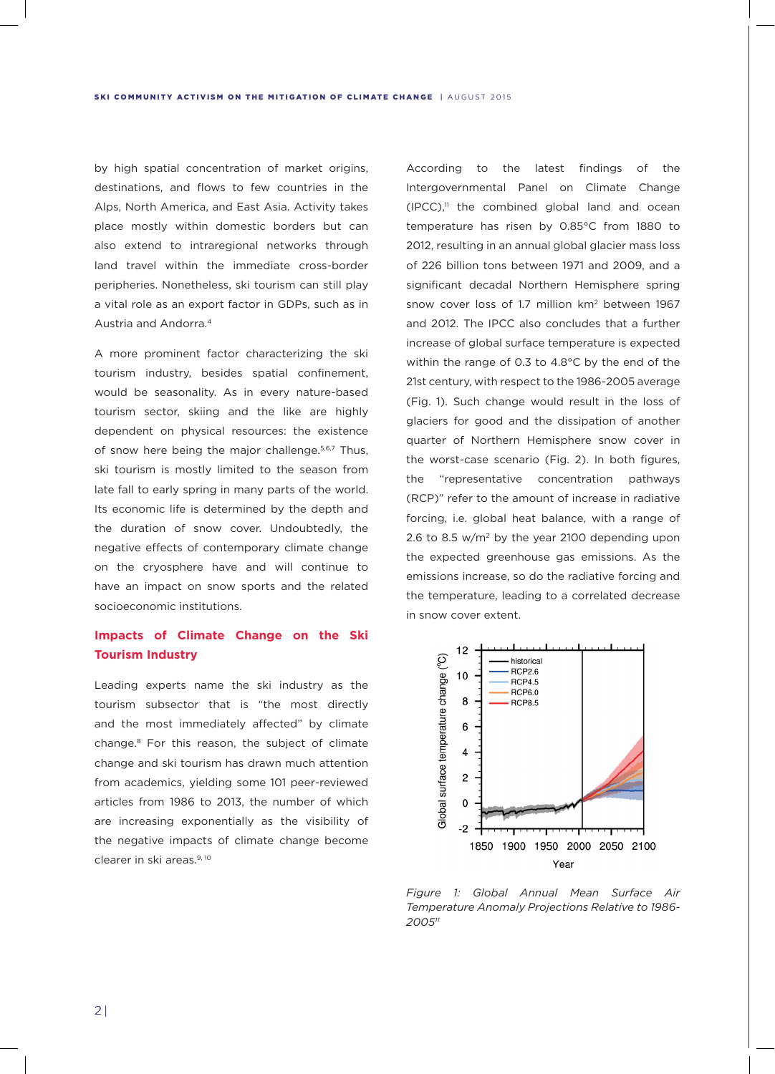by high spatial concentration of market origins, destinations, and flows to few countries in the Alps, North America, and East Asia. Activity takes place mostly within domestic borders but can also extend to intraregional networks through land travel within the immediate cross-border peripheries. Nonetheless, ski tourism can still play a vital role as an export factor in GDPs, such as in Austria and Andorra.4

A more prominent factor characterizing the ski tourism industry, besides spatial confinement, would be seasonality. As in every nature-based tourism sector, skiing and the like are highly dependent on physical resources: the existence of snow here being the major challenge.<sup>5,6,7</sup> Thus, ski tourism is mostly limited to the season from late fall to early spring in many parts of the world. Its economic life is determined by the depth and the duration of snow cover. Undoubtedly, the negative effects of contemporary climate change on the cryosphere have and will continue to have an impact on snow sports and the related socioeconomic institutions.

# **Impacts of Climate Change on the Ski Tourism Industry**

Leading experts name the ski industry as the tourism subsector that is "the most directly and the most immediately affected" by climate change.8 For this reason, the subject of climate change and ski tourism has drawn much attention from academics, yielding some 101 peer-reviewed articles from 1986 to 2013, the number of which are increasing exponentially as the visibility of the negative impacts of climate change become clearer in ski areas.<sup>9, 10</sup>

According to the latest findings of the Intergovernmental Panel on Climate Change  $(IPCC)$ ,<sup>11</sup> the combined global land and ocean temperature has risen by 0.85°C from 1880 to 2012, resulting in an annual global glacier mass loss of 226 billion tons between 1971 and 2009, and a significant decadal Northern Hemisphere spring snow cover loss of 1.7 million km2 between 1967 and 2012. The IPCC also concludes that a further increase of global surface temperature is expected within the range of 0.3 to 4.8°C by the end of the 21st century, with respect to the 1986-2005 average (Fig. 1). Such change would result in the loss of glaciers for good and the dissipation of another quarter of Northern Hemisphere snow cover in the worst-case scenario (Fig. 2). In both figures, the "representative concentration pathways (RCP)" refer to the amount of increase in radiative forcing, i.e. global heat balance, with a range of 2.6 to 8.5  $w/m^2$  by the year 2100 depending upon the expected greenhouse gas emissions. As the emissions increase, so do the radiative forcing and the temperature, leading to a correlated decrease in snow cover extent.



*Figure 1: Global Annual Mean Surface Air Temperature Anomaly Projections Relative to 1986- 200511*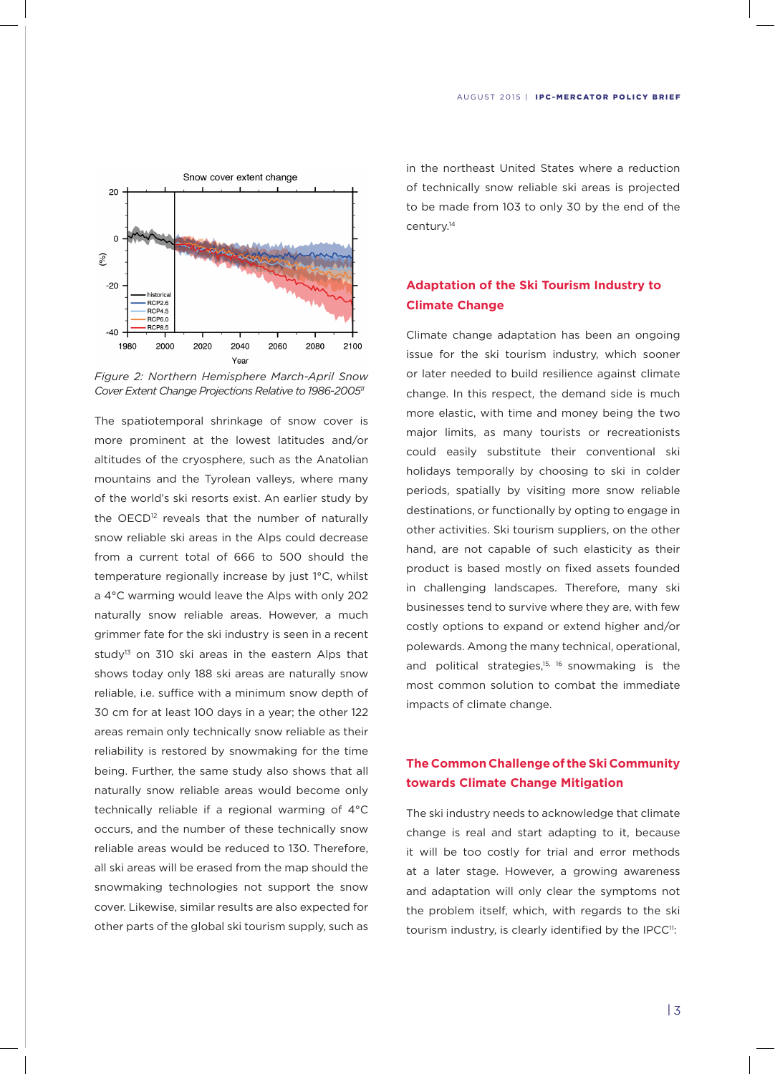

*Figure 2: Northern Hemisphere March-April Snow Cover Extent Change Projections Relative to 1986-200511*

The spatiotemporal shrinkage of snow cover is more prominent at the lowest latitudes and/or altitudes of the cryosphere, such as the Anatolian mountains and the Tyrolean valleys, where many of the world's ski resorts exist. An earlier study by the OECD<sup>12</sup> reveals that the number of naturally snow reliable ski areas in the Alps could decrease from a current total of 666 to 500 should the temperature regionally increase by just 1°C, whilst a 4°C warming would leave the Alps with only 202 naturally snow reliable areas. However, a much grimmer fate for the ski industry is seen in a recent study<sup>13</sup> on 310 ski areas in the eastern Alps that shows today only 188 ski areas are naturally snow reliable, i.e. suffice with a minimum snow depth of 30 cm for at least 100 days in a year; the other 122 areas remain only technically snow reliable as their reliability is restored by snowmaking for the time being. Further, the same study also shows that all naturally snow reliable areas would become only technically reliable if a regional warming of 4°C occurs, and the number of these technically snow reliable areas would be reduced to 130. Therefore, all ski areas will be erased from the map should the snowmaking technologies not support the snow cover. Likewise, similar results are also expected for other parts of the global ski tourism supply, such as

in the northeast United States where a reduction of technically snow reliable ski areas is projected to be made from 103 to only 30 by the end of the century.14

# **Adaptation of the Ski Tourism Industry to Climate Change**

Climate change adaptation has been an ongoing issue for the ski tourism industry, which sooner or later needed to build resilience against climate change. In this respect, the demand side is much more elastic, with time and money being the two major limits, as many tourists or recreationists could easily substitute their conventional ski holidays temporally by choosing to ski in colder periods, spatially by visiting more snow reliable destinations, or functionally by opting to engage in other activities. Ski tourism suppliers, on the other hand, are not capable of such elasticity as their product is based mostly on fixed assets founded in challenging landscapes. Therefore, many ski businesses tend to survive where they are, with few costly options to expand or extend higher and/or polewards. Among the many technical, operational, and political strategies, $15, 16$  snowmaking is the most common solution to combat the immediate impacts of climate change.

## **The Common Challenge of the Ski Community towards Climate Change Mitigation**

The ski industry needs to acknowledge that climate change is real and start adapting to it, because it will be too costly for trial and error methods at a later stage. However, a growing awareness and adaptation will only clear the symptoms not the problem itself, which, with regards to the ski tourism industry, is clearly identified by the IPCC<sup>11</sup>: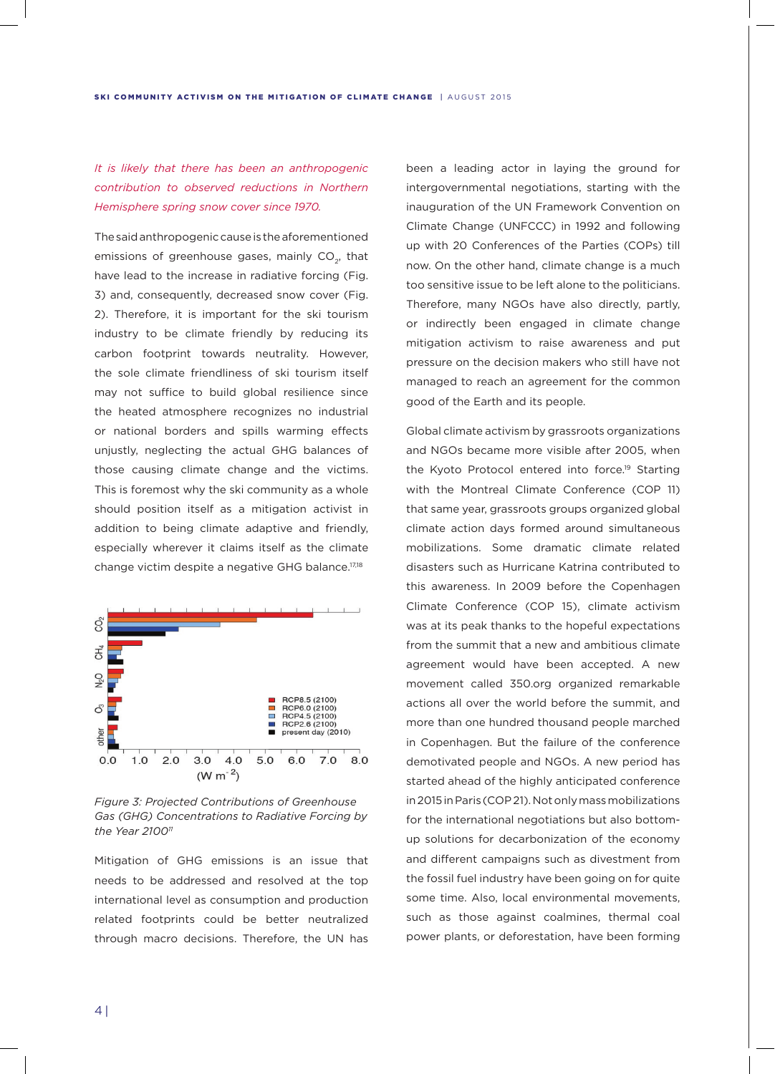# *It is likely that there has been an anthropogenic contribution to observed reductions in Northern Hemisphere spring snow cover since 1970.*

The said anthropogenic cause is the aforementioned emissions of greenhouse gases, mainly  $CO<sub>2</sub>$ , that have lead to the increase in radiative forcing (Fig. 3) and, consequently, decreased snow cover (Fig. 2). Therefore, it is important for the ski tourism industry to be climate friendly by reducing its carbon footprint towards neutrality. However, the sole climate friendliness of ski tourism itself may not suffice to build global resilience since the heated atmosphere recognizes no industrial or national borders and spills warming effects unjustly, neglecting the actual GHG balances of those causing climate change and the victims. This is foremost why the ski community as a whole should position itself as a mitigation activist in addition to being climate adaptive and friendly, especially wherever it claims itself as the climate change victim despite a negative GHG balance.<sup>17,18</sup>



*Figure 3: Projected Contributions of Greenhouse Gas (GHG) Concentrations to Radiative Forcing by the Year 210011*

Mitigation of GHG emissions is an issue that needs to be addressed and resolved at the top international level as consumption and production related footprints could be better neutralized through macro decisions. Therefore, the UN has

been a leading actor in laying the ground for intergovernmental negotiations, starting with the inauguration of the UN Framework Convention on Climate Change (UNFCCC) in 1992 and following up with 20 Conferences of the Parties (COPs) till now. On the other hand, climate change is a much too sensitive issue to be left alone to the politicians. Therefore, many NGOs have also directly, partly, or indirectly been engaged in climate change mitigation activism to raise awareness and put pressure on the decision makers who still have not managed to reach an agreement for the common good of the Earth and its people.

Global climate activism by grassroots organizations and NGOs became more visible after 2005, when the Kyoto Protocol entered into force.<sup>19</sup> Starting with the Montreal Climate Conference (COP 11) that same year, grassroots groups organized global climate action days formed around simultaneous mobilizations. Some dramatic climate related disasters such as Hurricane Katrina contributed to this awareness. In 2009 before the Copenhagen Climate Conference (COP 15), climate activism was at its peak thanks to the hopeful expectations from the summit that a new and ambitious climate agreement would have been accepted. A new movement called 350.org organized remarkable actions all over the world before the summit, and more than one hundred thousand people marched in Copenhagen. But the failure of the conference demotivated people and NGOs. A new period has started ahead of the highly anticipated conference in 2015 in Paris (COP 21). Not only mass mobilizations for the international negotiations but also bottomup solutions for decarbonization of the economy and different campaigns such as divestment from the fossil fuel industry have been going on for quite some time. Also, local environmental movements, such as those against coalmines, thermal coal power plants, or deforestation, have been forming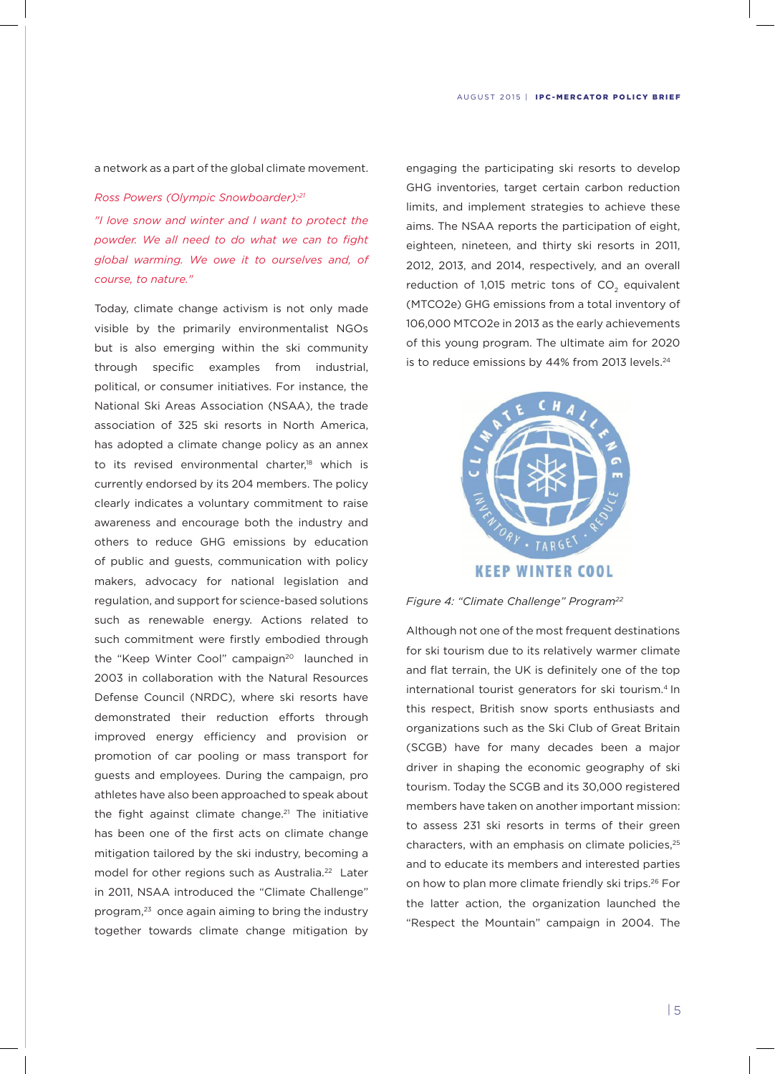#### a network as a part of the global climate movement.

#### *Ross Powers (Olympic Snowboarder):21*

*"I love snow and winter and I want to protect the powder. We all need to do what we can to fight global warming. We owe it to ourselves and, of course, to nature."*

Today, climate change activism is not only made visible by the primarily environmentalist NGOs but is also emerging within the ski community through specific examples from industrial, political, or consumer initiatives. For instance, the National Ski Areas Association (NSAA), the trade association of 325 ski resorts in North America, has adopted a climate change policy as an annex to its revised environmental charter,<sup>18</sup> which is currently endorsed by its 204 members. The policy clearly indicates a voluntary commitment to raise awareness and encourage both the industry and others to reduce GHG emissions by education of public and guests, communication with policy makers, advocacy for national legislation and regulation, and support for science-based solutions such as renewable energy. Actions related to such commitment were firstly embodied through the "Keep Winter Cool" campaign<sup>20</sup> launched in 2003 in collaboration with the Natural Resources Defense Council (NRDC), where ski resorts have demonstrated their reduction efforts through improved energy efficiency and provision or promotion of car pooling or mass transport for guests and employees. During the campaign, pro athletes have also been approached to speak about the fight against climate change.<sup>21</sup> The initiative has been one of the first acts on climate change mitigation tailored by the ski industry, becoming a model for other regions such as Australia.<sup>22</sup> Later in 2011, NSAA introduced the "Climate Challenge" program,<sup>23</sup> once again aiming to bring the industry together towards climate change mitigation by

engaging the participating ski resorts to develop GHG inventories, target certain carbon reduction limits, and implement strategies to achieve these aims. The NSAA reports the participation of eight, eighteen, nineteen, and thirty ski resorts in 2011, 2012, 2013, and 2014, respectively, and an overall reduction of 1,015 metric tons of  $CO<sub>2</sub>$  equivalent (MTCO2e) GHG emissions from a total inventory of 106,000 MTCO2e in 2013 as the early achievements of this young program. The ultimate aim for 2020 is to reduce emissions by 44% from 2013 levels.<sup>24</sup>



*Figure 4: "Climate Challenge" Program22*

Although not one of the most frequent destinations for ski tourism due to its relatively warmer climate and flat terrain, the UK is definitely one of the top international tourist generators for ski tourism.<sup>4</sup> In this respect, British snow sports enthusiasts and organizations such as the Ski Club of Great Britain (SCGB) have for many decades been a major driver in shaping the economic geography of ski tourism. Today the SCGB and its 30,000 registered members have taken on another important mission: to assess 231 ski resorts in terms of their green characters, with an emphasis on climate policies,<sup>25</sup> and to educate its members and interested parties on how to plan more climate friendly ski trips.<sup>26</sup> For the latter action, the organization launched the "Respect the Mountain" campaign in 2004. The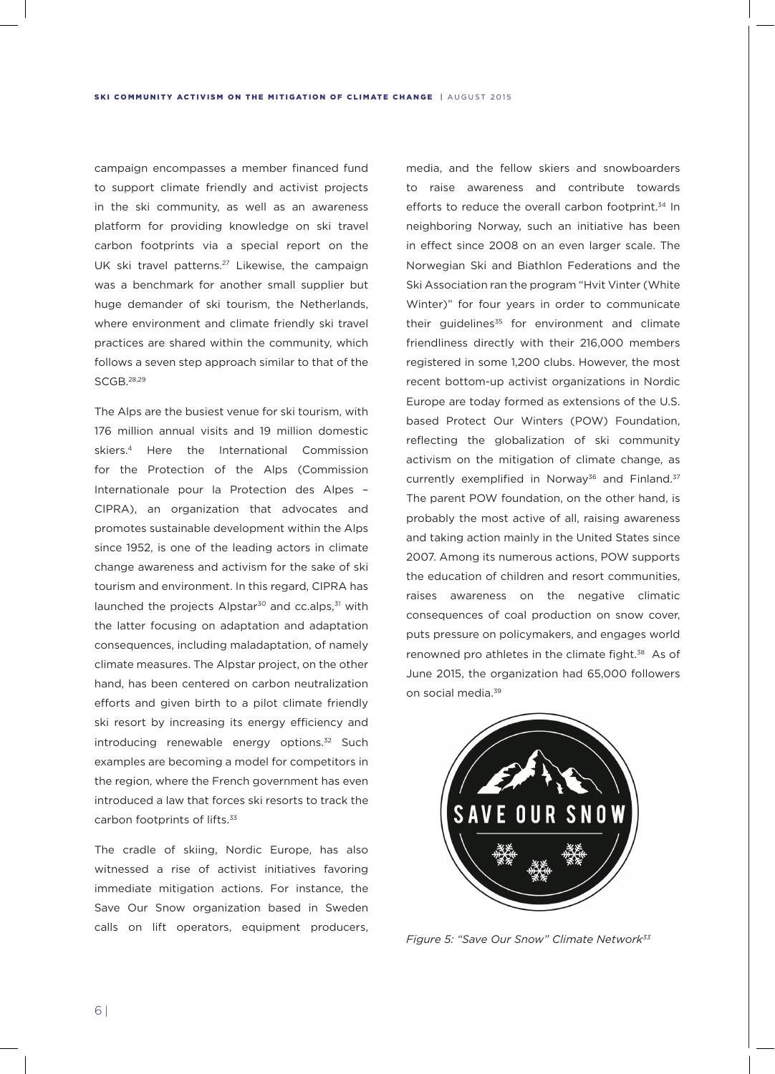campaign encompasses a member financed fund to support climate friendly and activist projects in the ski community, as well as an awareness platform for providing knowledge on ski travel carbon footprints via a special report on the UK ski travel patterns.<sup>27</sup> Likewise, the campaign was a benchmark for another small supplier but huge demander of ski tourism, the Netherlands, where environment and climate friendly ski travel practices are shared within the community, which follows a seven step approach similar to that of the SCGB.28,29

The Alps are the busiest venue for ski tourism, with 176 million annual visits and 19 million domestic skiers.4 Here the International Commission for the Protection of the Alps (Commission Internationale pour la Protection des Alpes – CIPRA), an organization that advocates and promotes sustainable development within the Alps since 1952, is one of the leading actors in climate change awareness and activism for the sake of ski tourism and environment. In this regard, CIPRA has launched the projects Alpstar<sup>30</sup> and cc.alps,<sup>31</sup> with the latter focusing on adaptation and adaptation consequences, including maladaptation, of namely climate measures. The Alpstar project, on the other hand, has been centered on carbon neutralization efforts and given birth to a pilot climate friendly ski resort by increasing its energy efficiency and introducing renewable energy options.<sup>32</sup> Such examples are becoming a model for competitors in the region, where the French government has even introduced a law that forces ski resorts to track the carbon footprints of lifts.33

The cradle of skiing, Nordic Europe, has also witnessed a rise of activist initiatives favoring immediate mitigation actions. For instance, the Save Our Snow organization based in Sweden calls on lift operators, equipment producers,

media, and the fellow skiers and snowboarders to raise awareness and contribute towards efforts to reduce the overall carbon footprint.<sup>34</sup> In neighboring Norway, such an initiative has been in effect since 2008 on an even larger scale. The Norwegian Ski and Biathlon Federations and the Ski Association ran the program "Hvit Vinter (White Winter)" for four years in order to communicate their guidelines<sup>35</sup> for environment and climate friendliness directly with their 216,000 members registered in some 1,200 clubs. However, the most recent bottom-up activist organizations in Nordic Europe are today formed as extensions of the U.S. based Protect Our Winters (POW) Foundation, reflecting the globalization of ski community activism on the mitigation of climate change, as currently exemplified in Norway<sup>36</sup> and Finland.<sup>37</sup> The parent POW foundation, on the other hand, is probably the most active of all, raising awareness and taking action mainly in the United States since 2007. Among its numerous actions, POW supports the education of children and resort communities, raises awareness on the negative climatic consequences of coal production on snow cover, puts pressure on policymakers, and engages world renowned pro athletes in the climate fight.<sup>38</sup> As of June 2015, the organization had 65,000 followers on social media.<sup>39</sup>



*Figure 5: "Save Our Snow" Climate Network33*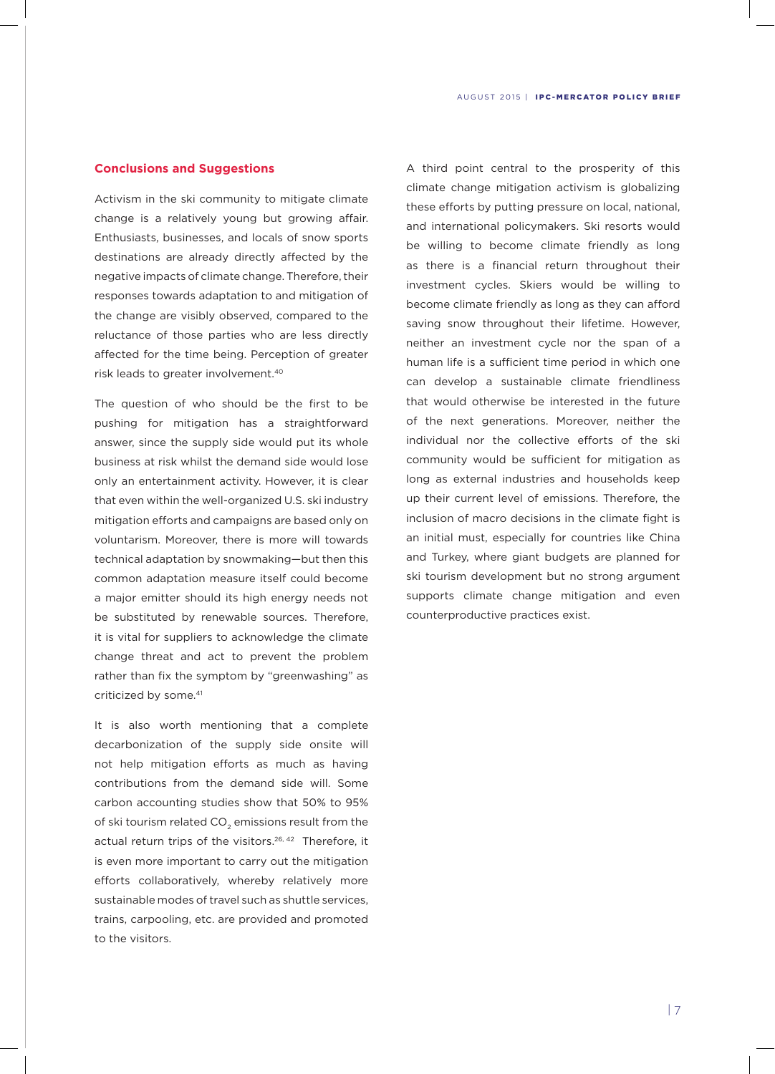## **Conclusions and Suggestions**

Activism in the ski community to mitigate climate change is a relatively young but growing affair. Enthusiasts, businesses, and locals of snow sports destinations are already directly affected by the negative impacts of climate change. Therefore, their responses towards adaptation to and mitigation of the change are visibly observed, compared to the reluctance of those parties who are less directly affected for the time being. Perception of greater risk leads to greater involvement.40

The question of who should be the first to be pushing for mitigation has a straightforward answer, since the supply side would put its whole business at risk whilst the demand side would lose only an entertainment activity. However, it is clear that even within the well-organized U.S. ski industry mitigation efforts and campaigns are based only on voluntarism. Moreover, there is more will towards technical adaptation by snowmaking—but then this common adaptation measure itself could become a major emitter should its high energy needs not be substituted by renewable sources. Therefore, it is vital for suppliers to acknowledge the climate change threat and act to prevent the problem rather than fix the symptom by "greenwashing" as criticized by some.<sup>41</sup>

It is also worth mentioning that a complete decarbonization of the supply side onsite will not help mitigation efforts as much as having contributions from the demand side will. Some carbon accounting studies show that 50% to 95% of ski tourism related CO<sub>2</sub> emissions result from the actual return trips of the visitors.<sup>26, 42</sup> Therefore, it is even more important to carry out the mitigation efforts collaboratively, whereby relatively more sustainable modes of travel such as shuttle services, trains, carpooling, etc. are provided and promoted to the visitors.

A third point central to the prosperity of this climate change mitigation activism is globalizing these efforts by putting pressure on local, national, and international policymakers. Ski resorts would be willing to become climate friendly as long as there is a financial return throughout their investment cycles. Skiers would be willing to become climate friendly as long as they can afford saving snow throughout their lifetime. However, neither an investment cycle nor the span of a human life is a sufficient time period in which one can develop a sustainable climate friendliness that would otherwise be interested in the future of the next generations. Moreover, neither the individual nor the collective efforts of the ski community would be sufficient for mitigation as long as external industries and households keep up their current level of emissions. Therefore, the inclusion of macro decisions in the climate fight is an initial must, especially for countries like China and Turkey, where giant budgets are planned for ski tourism development but no strong argument supports climate change mitigation and even counterproductive practices exist.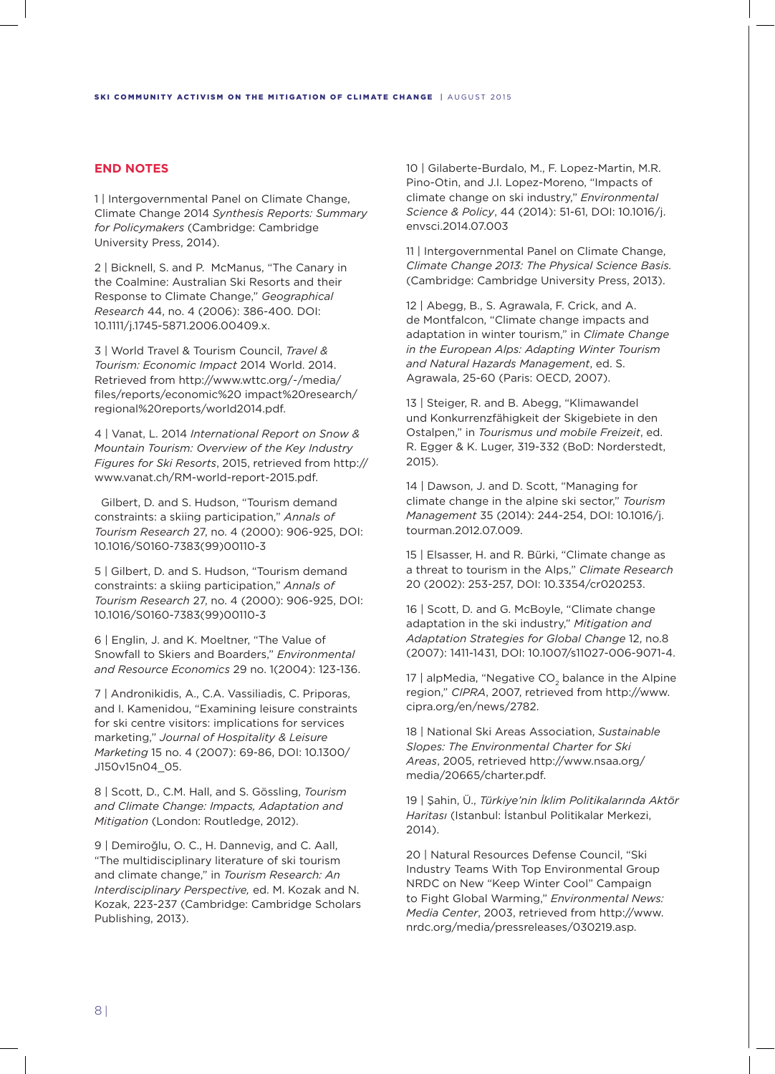## **END NOTES**

1 | Intergovernmental Panel on Climate Change, Climate Change 2014 *Synthesis Reports: Summary for Policymakers* (Cambridge: Cambridge University Press, 2014).

2 | Bicknell, S. and P. McManus, "The Canary in the Coalmine: Australian Ski Resorts and their Response to Climate Change," *Geographical Research* 44, no. 4 (2006): 386-400. DOI: 10.1111/j.1745-5871.2006.00409.x.

3 | World Travel & Tourism Council, *Travel & Tourism: Economic Impact* 2014 World. 2014. Retrieved from http://www.wttc.org/-/media/ files/reports/economic%20 impact%20research/ regional%20reports/world2014.pdf.

4 | Vanat, L. 2014 *International Report on Snow & Mountain Tourism: Overview of the Key Industry Figures for Ski Resorts*, 2015, retrieved from http:// www.vanat.ch/RM-world-report-2015.pdf.

 Gilbert, D. and S. Hudson, "Tourism demand constraints: a skiing participation," *Annals of Tourism Research* 27, no. 4 (2000): 906-925, DOI: 10.1016/S0160-7383(99)00110-3

5 | Gilbert, D. and S. Hudson, "Tourism demand constraints: a skiing participation," *Annals of Tourism Research* 27, no. 4 (2000): 906-925, DOI: 10.1016/S0160-7383(99)00110-3

6 | Englin, J. and K. Moeltner, "The Value of Snowfall to Skiers and Boarders," *Environmental and Resource Economics* 29 no. 1(2004): 123-136.

7 | Andronikidis, A., C.A. Vassiliadis, C. Priporas, and I. Kamenidou, "Examining leisure constraints for ski centre visitors: implications for services marketing," *Journal of Hospitality & Leisure Marketing* 15 no. 4 (2007): 69-86, DOI: 10.1300/ J150v15n04\_05.

8 | Scott, D., C.M. Hall, and S. Gössling, *Tourism and Climate Change: Impacts, Adaptation and Mitigation* (London: Routledge, 2012).

9 | Demiroğlu, O. C., H. Dannevig, and C. Aall, "The multidisciplinary literature of ski tourism and climate change," in *Tourism Research: An Interdisciplinary Perspective,* ed. M. Kozak and N. Kozak, 223-237 (Cambridge: Cambridge Scholars Publishing, 2013).

10 | Gilaberte-Burdalo, M., F. Lopez-Martin, M.R. Pino-Otin, and J.I. Lopez-Moreno, "Impacts of climate change on ski industry," *Environmental Science & Policy*, 44 (2014): 51-61, DOI: 10.1016/j. envsci.2014.07.003

11 | Intergovernmental Panel on Climate Change, *Climate Change 2013: The Physical Science Basis.*  (Cambridge: Cambridge University Press, 2013).

12 | Abegg, B., S. Agrawala, F. Crick, and A. de Montfalcon, "Climate change impacts and adaptation in winter tourism," in *Climate Change in the European Alps: Adapting Winter Tourism and Natural Hazards Management*, ed. S. Agrawala, 25-60 (Paris: OECD, 2007).

13 | Steiger, R. and B. Abegg, "Klimawandel und Konkurrenzfähigkeit der Skigebiete in den Ostalpen," in *Tourismus und mobile Freizeit*, ed. R. Egger & K. Luger, 319-332 (BoD: Norderstedt, 2015).

14 | Dawson, J. and D. Scott, "Managing for climate change in the alpine ski sector," *Tourism Management* 35 (2014): 244-254, DOI: 10.1016/j. tourman.2012.07.009.

15 | Elsasser, H. and R. Bürki, "Climate change as a threat to tourism in the Alps," *Climate Research* 20 (2002): 253-257, DOI: 10.3354/cr020253.

16 | Scott, D. and G. McBoyle, "Climate change adaptation in the ski industry," *Mitigation and Adaptation Strategies for Global Change* 12, no.8 (2007): 1411-1431, DOI: 10.1007/s11027-006-9071-4.

17 | alpMedia, "Negative CO<sub>2</sub> balance in the Alpine region," *CIPRA*, 2007, retrieved from http://www. cipra.org/en/news/2782.

18 | National Ski Areas Association, *Sustainable Slopes: The Environmental Charter for Ski Areas*, 2005, retrieved http://www.nsaa.org/ media/20665/charter.pdf.

19 | Şahin, Ü., *Türkiye'nin İklim Politikalarında Aktör Haritası* (Istanbul: İstanbul Politikalar Merkezi, 2014).

20 | Natural Resources Defense Council, "Ski Industry Teams With Top Environmental Group NRDC on New "Keep Winter Cool" Campaign to Fight Global Warming," *Environmental News: Media Center*, 2003, retrieved from http://www. nrdc.org/media/pressreleases/030219.asp.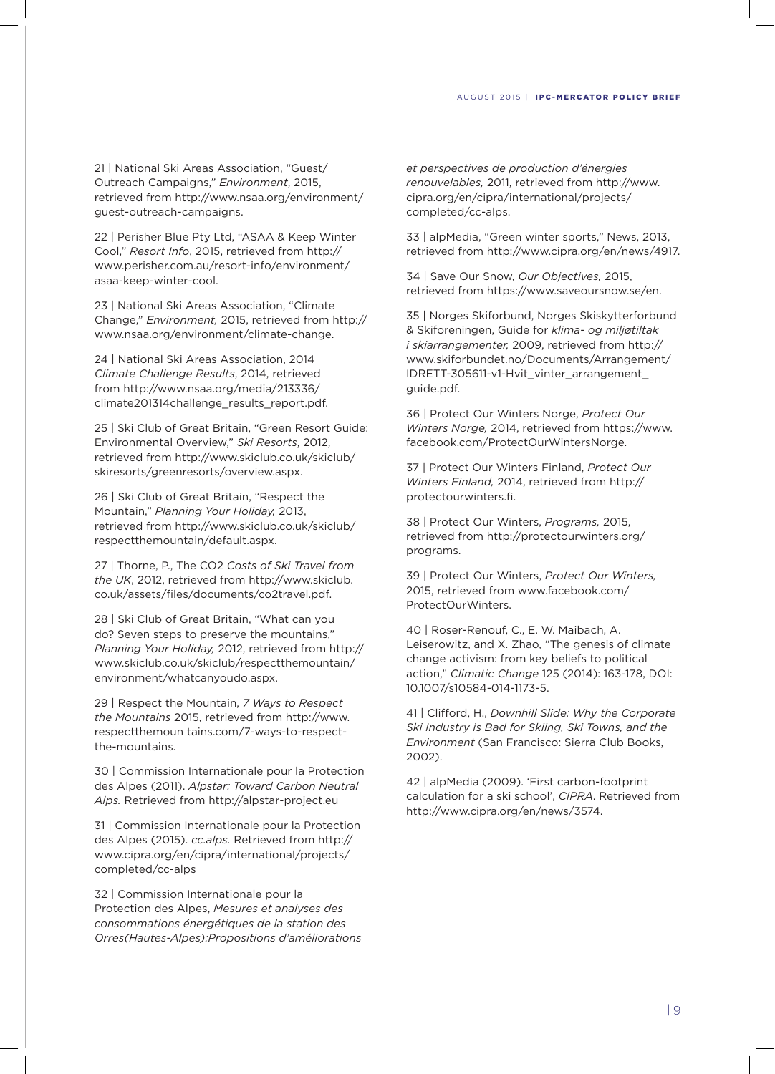21 | National Ski Areas Association, "Guest/ Outreach Campaigns," *Environment*, 2015, retrieved from http://www.nsaa.org/environment/ guest-outreach-campaigns.

22 | Perisher Blue Pty Ltd, "ASAA & Keep Winter Cool," *Resort Info*, 2015, retrieved from http:// www.perisher.com.au/resort-info/environment/ asaa-keep-winter-cool.

23 | National Ski Areas Association, "Climate Change," *Environment,* 2015, retrieved from http:// www.nsaa.org/environment/climate-change.

24 | National Ski Areas Association, 2014 *Climate Challenge Results*, 2014, retrieved from http://www.nsaa.org/media/213336/ climate201314challenge\_results\_report.pdf.

25 | Ski Club of Great Britain, "Green Resort Guide: Environmental Overview," *Ski Resorts*, 2012, retrieved from http://www.skiclub.co.uk/skiclub/ skiresorts/greenresorts/overview.aspx.

26 | Ski Club of Great Britain, "Respect the Mountain," *Planning Your Holiday,* 2013, retrieved from http://www.skiclub.co.uk/skiclub/ respectthemountain/default.aspx.

27 | Thorne, P., The CO2 *Costs of Ski Travel from the UK*, 2012, retrieved from http://www.skiclub. co.uk/assets/files/documents/co2travel.pdf.

28 | Ski Club of Great Britain, "What can you do? Seven steps to preserve the mountains," *Planning Your Holiday,* 2012, retrieved from http:// www.skiclub.co.uk/skiclub/respectthemountain/ environment/whatcanyoudo.aspx.

29 | Respect the Mountain, *7 Ways to Respect the Mountains* 2015, retrieved from http://www. respectthemoun tains.com/7-ways-to-respectthe-mountains.

30 | Commission Internationale pour la Protection des Alpes (2011). *Alpstar: Toward Carbon Neutral Alps.* Retrieved from http://alpstar-project.eu

31 | Commission Internationale pour la Protection des Alpes (2015). *cc.alps.* Retrieved from http:// www.cipra.org/en/cipra/international/projects/ completed/cc-alps

32 | Commission Internationale pour la Protection des Alpes, *Mesures et analyses des consommations énergétiques de la station des Orres(Hautes-Alpes):Propositions d'améliorations*  *et perspectives de production d'énergies renouvelables,* 2011, retrieved from http://www. cipra.org/en/cipra/international/projects/ completed/cc-alps.

33 | alpMedia, "Green winter sports," News, 2013, retrieved from http://www.cipra.org/en/news/4917.

34 | Save Our Snow, *Our Objectives,* 2015, retrieved from https://www.saveoursnow.se/en.

35 | Norges Skiforbund, Norges Skiskytterforbund & Skiforeningen, Guide for *klima- og miljøtiltak i skiarrangementer,* 2009, retrieved from http:// www.skiforbundet.no/Documents/Arrangement/ IDRETT-305611-v1-Hvit\_vinter\_arrangement\_ guide.pdf.

36 | Protect Our Winters Norge, *Protect Our Winters Norge,* 2014, retrieved from https://www. facebook.com/ProtectOurWintersNorge.

37 | Protect Our Winters Finland, *Protect Our Winters Finland,* 2014, retrieved from http:// protectourwinters.fi.

38 | Protect Our Winters, *Programs,* 2015, retrieved from http://protectourwinters.org/ programs.

39 | Protect Our Winters, *Protect Our Winters,* 2015, retrieved from www.facebook.com/ ProtectOurWinters.

40 | Roser-Renouf, C., E. W. Maibach, A. Leiserowitz, and X. Zhao, "The genesis of climate change activism: from key beliefs to political action," *Climatic Change* 125 (2014): 163-178, DOI: 10.1007/s10584-014-1173-5.

41 | Clifford, H., *Downhill Slide: Why the Corporate Ski Industry is Bad for Skiing, Ski Towns, and the Environment* (San Francisco: Sierra Club Books, 2002).

42 | alpMedia (2009). 'First carbon-footprint calculation for a ski school', *CIPRA*. Retrieved from http://www.cipra.org/en/news/3574.